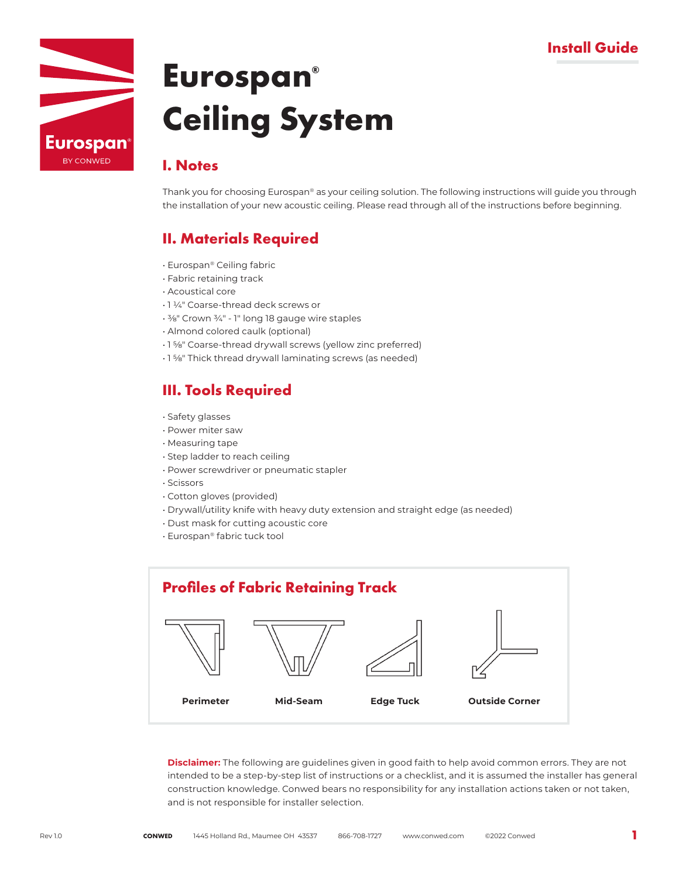## **Install Guide**



# **Eurospan® Ceiling System**

### **I. Notes**

Thank you for choosing Eurospan® as your ceiling solution. The following instructions will guide you through the installation of your new acoustic ceiling. Please read through all of the instructions before beginning.

## **II. Materials Required**

- Eurospan® Ceiling fabric
- Fabric retaining track
- Acoustical core
- 1 ¼" Coarse-thread deck screws or
- ⅜" Crown ¾" 1" long 18 gauge wire staples
- Almond colored caulk (optional)
- 1 ⅝" Coarse-thread drywall screws (yellow zinc preferred)
- 1 ⅝" Thick thread drywall laminating screws (as needed)

## **III. Tools Required**

- Safety glasses
- Power miter saw
- Measuring tape
- Step ladder to reach ceiling
- Power screwdriver or pneumatic stapler
- Scissors
- Cotton gloves (provided)
- Drywall/utility knife with heavy duty extension and straight edge (as needed)
- Dust mask for cutting acoustic core
- Eurospan® fabric tuck tool



**Disclaimer:** The following are guidelines given in good faith to help avoid common errors. They are not intended to be a step-by-step list of instructions or a checklist, and it is assumed the installer has general construction knowledge. Conwed bears no responsibility for any installation actions taken or not taken, and is not responsible for installer selection.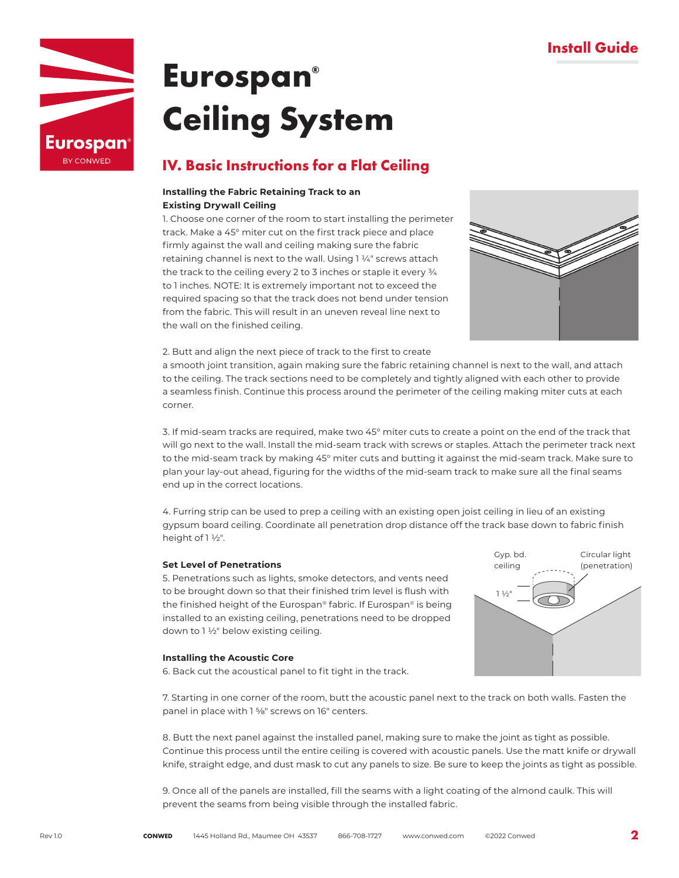

# **Eurospan® Ceiling System**

### **IV. Basic Instructions for a Flat Ceiling**

#### **Installing the Fabric Retaining Track to an Existing Drywall Ceiling**

1. Choose one corner of the room to start installing the perimeter track. Make a 45° miter cut on the first track piece and place firmly against the wall and ceiling making sure the fabric retaining channel is next to the wall. Using 1 ¼" screws attach the track to the ceiling every 2 to 3 inches or staple it every  $\frac{3}{4}$ to 1 inches. NOTE: It is extremely important not to exceed the required spacing so that the track does not bend under tension from the fabric. This will result in an uneven reveal line next to the wall on the finished ceiling.



2. Butt and align the next piece of track to the first to create

a smooth joint transition, again making sure the fabric retaining channel is next to the wall, and attach to the ceiling. The track sections need to be completely and tightly aligned with each other to provide a seamless finish. Continue this process around the perimeter of the ceiling making miter cuts at each corner.

3. If mid-seam tracks are required, make two 45° miter cuts to create a point on the end of the track that will go next to the wall. Install the mid-seam track with screws or staples. Attach the perimeter track next to the mid-seam track by making 45° miter cuts and butting it against the mid-seam track. Make sure to plan your lay-out ahead, figuring for the widths of the mid-seam track to make sure all the final seams end up in the correct locations.

4. Furring strip can be used to prep a ceiling with an existing open joist ceiling in lieu of an existing gypsum board ceiling. Coordinate all penetration drop distance off the track base down to fabric finish height of 1 ½".

#### **Set Level of Penetrations**

5. Penetrations such as lights, smoke detectors, and vents need to be brought down so that their finished trim level is flush with the finished height of the Eurospan® fabric. If Eurospan® is being installed to an existing ceiling, penetrations need to be dropped down to 1 ½" below existing ceiling.



#### **Installing the Acoustic Core**

6. Back cut the acoustical panel to fit tight in the track.

7. Starting in one corner of the room, butt the acoustic panel next to the track on both walls. Fasten the panel in place with 1 %" screws on 16" centers.

8. Butt the next panel against the installed panel, making sure to make the joint as tight as possible. Continue this process until the entire ceiling is covered with acoustic panels. Use the matt knife or drywall knife, straight edge, and dust mask to cut any panels to size. Be sure to keep the joints as tight as possible.

9. Once all of the panels are installed, fill the seams with a light coating of the almond caulk. This will prevent the seams from being visible through the installed fabric.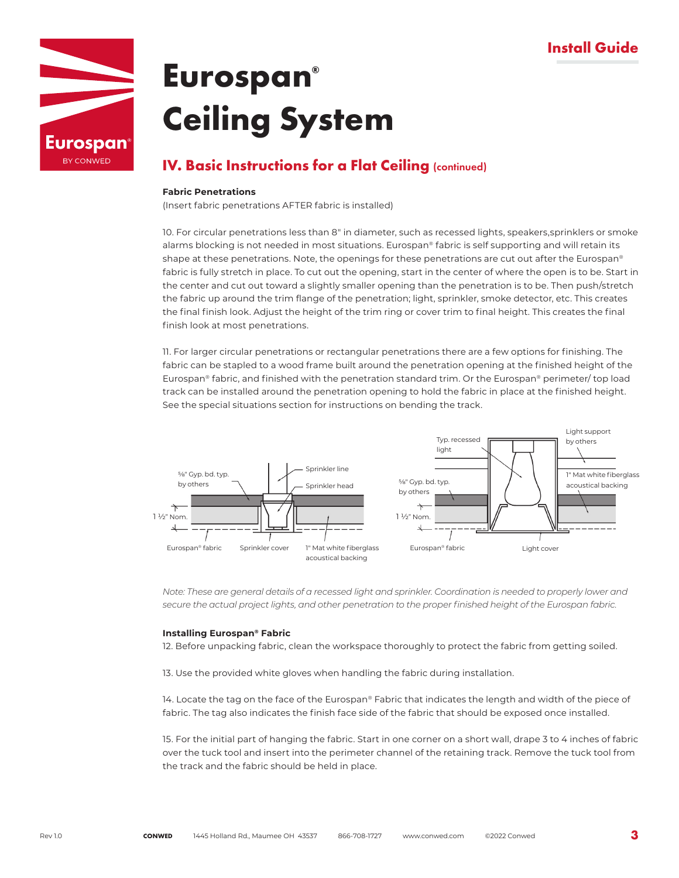

# **Eurospan® Ceiling System**

### **IV. Basic Instructions for a Flat Ceiling (continued)**

#### **Fabric Penetrations**

(Insert fabric penetrations AFTER fabric is installed)

10. For circular penetrations less than 8" in diameter, such as recessed lights, speakers,sprinklers or smoke alarms blocking is not needed in most situations. Eurospan® fabric is self supporting and will retain its shape at these penetrations. Note, the openings for these penetrations are cut out after the Eurospan® fabric is fully stretch in place. To cut out the opening, start in the center of where the open is to be. Start in the center and cut out toward a slightly smaller opening than the penetration is to be. Then push/stretch the fabric up around the trim flange of the penetration; light, sprinkler, smoke detector, etc. This creates the final finish look. Adjust the height of the trim ring or cover trim to final height. This creates the final finish look at most penetrations.

11. For larger circular penetrations or rectangular penetrations there are a few options for finishing. The fabric can be stapled to a wood frame built around the penetration opening at the finished height of the Eurospan® fabric, and finished with the penetration standard trim. Or the Eurospan® perimeter/ top load track can be installed around the penetration opening to hold the fabric in place at the finished height. See the special situations section for instructions on bending the track.



*Note: These are general details of a recessed light and sprinkler. Coordination is needed to properly lower and secure the actual project lights, and other penetration to the proper finished height of the Eurospan fabric.*

#### **Installing Eurospan® Fabric**

12. Before unpacking fabric, clean the workspace thoroughly to protect the fabric from getting soiled.

13. Use the provided white gloves when handling the fabric during installation.

14. Locate the tag on the face of the Eurospan® Fabric that indicates the length and width of the piece of fabric. The tag also indicates the finish face side of the fabric that should be exposed once installed.

15. For the initial part of hanging the fabric. Start in one corner on a short wall, drape 3 to 4 inches of fabric over the tuck tool and insert into the perimeter channel of the retaining track. Remove the tuck tool from the track and the fabric should be held in place.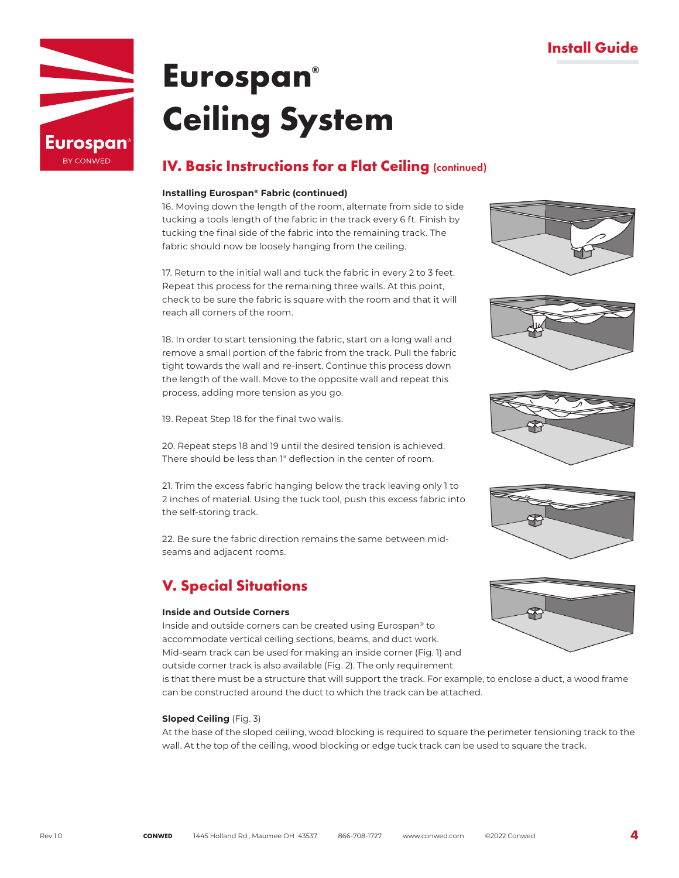

# **Eurospan® Ceiling System**

## **IV. Basic Instructions for a Flat Ceiling (continued)**

#### **Installing Eurospan® Fabric (continued)**

16. Moving down the length of the room, alternate from side to side tucking a tools length of the fabric in the track every 6 ft. Finish by tucking the final side of the fabric into the remaining track. The fabric should now be loosely hanging from the ceiling.

17. Return to the initial wall and tuck the fabric in every 2 to 3 feet. Repeat this process for the remaining three walls. At this point, check to be sure the fabric is square with the room and that it will reach all corners of the room.

18. In order to start tensioning the fabric, start on a long wall and remove a small portion of the fabric from the track. Pull the fabric tight towards the wall and re-insert. Continue this process down the length of the wall. Move to the opposite wall and repeat this process, adding more tension as you go.

19. Repeat Step 18 for the final two walls.

20. Repeat steps 18 and 19 until the desired tension is achieved. There should be less than 1" deflection in the center of room.

21. Trim the excess fabric hanging below the track leaving only 1 to 2 inches of material. Using the tuck tool, push this excess fabric into the self-storing track.

22. Be sure the fabric direction remains the same between midseams and adjacent rooms.

## **V. Special Situations**

#### **Inside and Outside Corners**

Inside and outside corners can be created using Eurospan® to accommodate vertical ceiling sections, beams, and duct work. Mid-seam track can be used for making an inside corner (Fig. 1) and outside corner track is also available (Fig. 2). The only requirement

is that there must be a structure that will support the track. For example, to enclose a duct, a wood frame can be constructed around the duct to which the track can be attached.

#### **Sloped Ceiling** (Fig. 3)

At the base of the sloped ceiling, wood blocking is required to square the perimeter tensioning track to the wall. At the top of the ceiling, wood blocking or edge tuck track can be used to square the track.